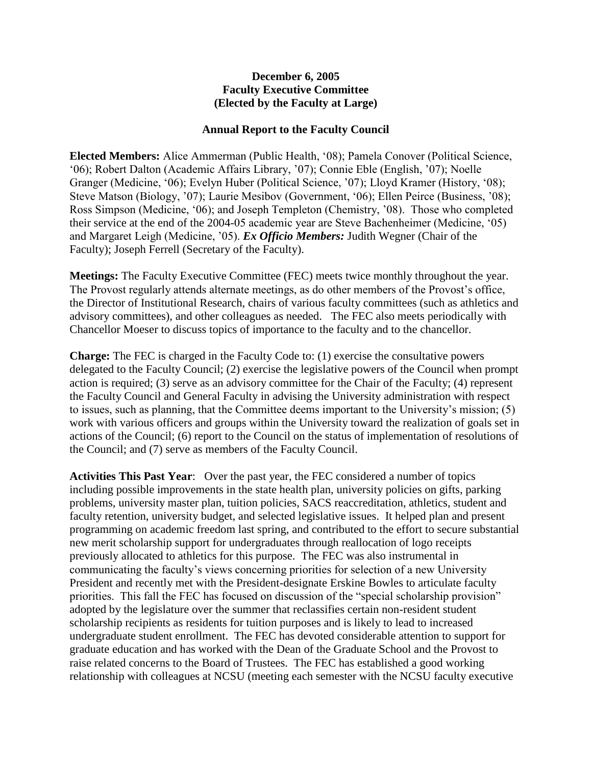## **December 6, 2005 Faculty Executive Committee (Elected by the Faculty at Large)**

## **Annual Report to the Faculty Council**

**Elected Members:** Alice Ammerman (Public Health, '08); Pamela Conover (Political Science, '06); Robert Dalton (Academic Affairs Library, '07); Connie Eble (English, '07); Noelle Granger (Medicine, '06); Evelyn Huber (Political Science, '07); Lloyd Kramer (History, '08); Steve Matson (Biology, '07); Laurie Mesibov (Government, '06); Ellen Peirce (Business, '08); Ross Simpson (Medicine, '06); and Joseph Templeton (Chemistry, '08). Those who completed their service at the end of the 2004-05 academic year are Steve Bachenheimer (Medicine, '05) and Margaret Leigh (Medicine, '05). *Ex Officio Members:* Judith Wegner (Chair of the Faculty); Joseph Ferrell (Secretary of the Faculty).

**Meetings:** The Faculty Executive Committee (FEC) meets twice monthly throughout the year. The Provost regularly attends alternate meetings, as do other members of the Provost's office, the Director of Institutional Research, chairs of various faculty committees (such as athletics and advisory committees), and other colleagues as needed. The FEC also meets periodically with Chancellor Moeser to discuss topics of importance to the faculty and to the chancellor.

**Charge:** The FEC is charged in the Faculty Code to: (1) exercise the consultative powers delegated to the Faculty Council; (2) exercise the legislative powers of the Council when prompt action is required; (3) serve as an advisory committee for the Chair of the Faculty; (4) represent the Faculty Council and General Faculty in advising the University administration with respect to issues, such as planning, that the Committee deems important to the University's mission; (5) work with various officers and groups within the University toward the realization of goals set in actions of the Council; (6) report to the Council on the status of implementation of resolutions of the Council; and (7) serve as members of the Faculty Council.

**Activities This Past Year**: Over the past year, the FEC considered a number of topics including possible improvements in the state health plan, university policies on gifts, parking problems, university master plan, tuition policies, SACS reaccreditation, athletics, student and faculty retention, university budget, and selected legislative issues. It helped plan and present programming on academic freedom last spring, and contributed to the effort to secure substantial new merit scholarship support for undergraduates through reallocation of logo receipts previously allocated to athletics for this purpose. The FEC was also instrumental in communicating the faculty's views concerning priorities for selection of a new University President and recently met with the President-designate Erskine Bowles to articulate faculty priorities. This fall the FEC has focused on discussion of the "special scholarship provision" adopted by the legislature over the summer that reclassifies certain non-resident student scholarship recipients as residents for tuition purposes and is likely to lead to increased undergraduate student enrollment. The FEC has devoted considerable attention to support for graduate education and has worked with the Dean of the Graduate School and the Provost to raise related concerns to the Board of Trustees. The FEC has established a good working relationship with colleagues at NCSU (meeting each semester with the NCSU faculty executive